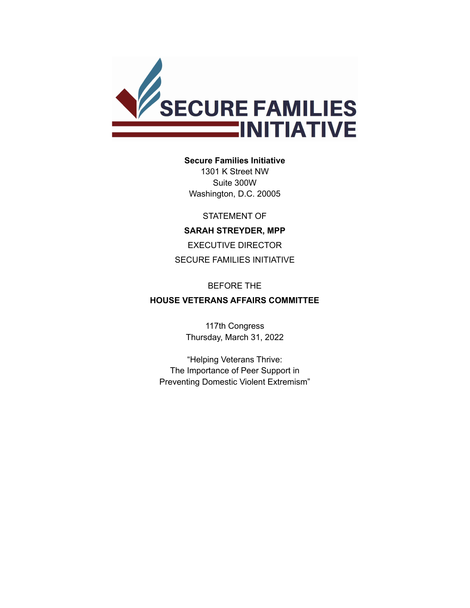

#### **Secure Families Initiative**

1301 K Street NW Suite 300W Washington, D.C. 20005

STATEMENT OF

### **SARAH STREYDER, MPP**

EXECUTIVE DIRECTOR SECURE FAMILIES INITIATIVE

#### BEFORE THE

## **HOUSE VETERANS AFFAIRS COMMITTEE**

117th Congress Thursday, March 31, 2022

"Helping Veterans Thrive: The Importance of Peer Support in Preventing Domestic Violent Extremism"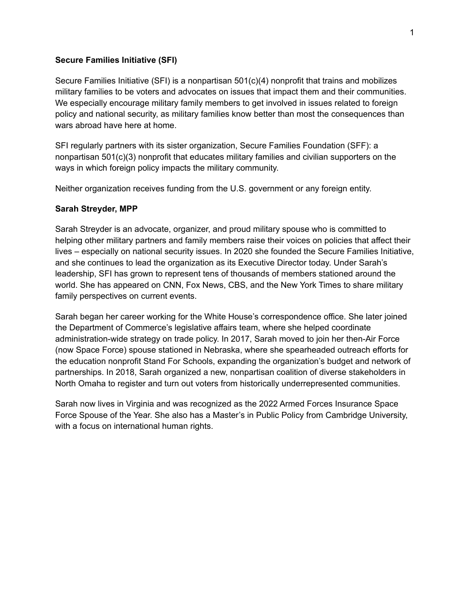#### **Secure Families Initiative (SFI)**

Secure Families Initiative (SFI) is a nonpartisan 501(c)(4) nonprofit that trains and mobilizes military families to be voters and advocates on issues that impact them and their communities. We especially encourage military family members to get involved in issues related to foreign policy and national security, as military families know better than most the consequences than wars abroad have here at home.

SFI regularly partners with its sister organization, Secure Families Foundation (SFF): a nonpartisan 501(c)(3) nonprofit that educates military families and civilian supporters on the ways in which foreign policy impacts the military community.

Neither organization receives funding from the U.S. government or any foreign entity.

### **Sarah Streyder, MPP**

Sarah Streyder is an advocate, organizer, and proud military spouse who is committed to helping other military partners and family members raise their voices on policies that affect their lives – especially on national security issues. In 2020 she founded the Secure Families Initiative, and she continues to lead the organization as its Executive Director today. Under Sarah's leadership, SFI has grown to represent tens of thousands of members stationed around the world. She has appeared on CNN, Fox News, CBS, and the New York Times to share military family perspectives on current events.

Sarah began her career working for the White House's correspondence office. She later joined the Department of Commerce's legislative affairs team, where she helped coordinate administration-wide strategy on trade policy. In 2017, Sarah moved to join her then-Air Force (now Space Force) spouse stationed in Nebraska, where she spearheaded outreach efforts for the education nonprofit Stand For Schools, expanding the organization's budget and network of partnerships. In 2018, Sarah organized a new, nonpartisan coalition of diverse stakeholders in North Omaha to register and turn out voters from historically underrepresented communities.

Sarah now lives in Virginia and was recognized as the 2022 Armed Forces Insurance Space Force Spouse of the Year. She also has a Master's in Public Policy from Cambridge University, with a focus on international human rights.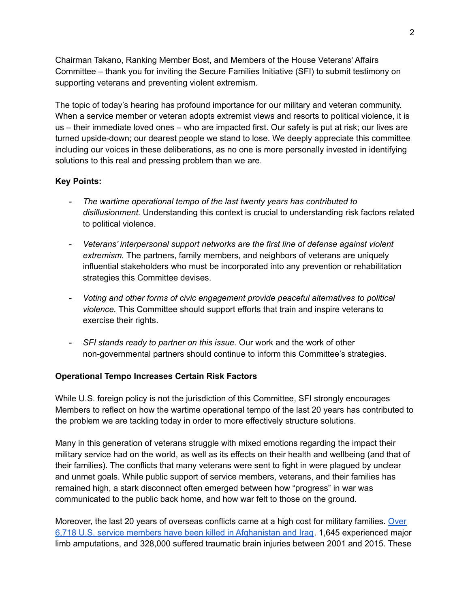Chairman Takano, Ranking Member Bost, and Members of the House Veterans' Affairs Committee – thank you for inviting the Secure Families Initiative (SFI) to submit testimony on supporting veterans and preventing violent extremism.

The topic of today's hearing has profound importance for our military and veteran community. When a service member or veteran adopts extremist views and resorts to political violence, it is us – their immediate loved ones – who are impacted first. Our safety is put at risk; our lives are turned upside-down; our dearest people we stand to lose. We deeply appreciate this committee including our voices in these deliberations, as no one is more personally invested in identifying solutions to this real and pressing problem than we are.

## **Key Points:**

- *The wartime operational tempo of the last twenty years has contributed to disillusionment.* Understanding this context is crucial to understanding risk factors related to political violence.
- *Veterans' interpersonal support networks are the first line of defense against violent extremism.* The partners, family members, and neighbors of veterans are uniquely influential stakeholders who must be incorporated into any prevention or rehabilitation strategies this Committee devises.
- *Voting and other forms of civic engagement provide peaceful alternatives to political violence.* This Committee should support efforts that train and inspire veterans to exercise their rights.
- *SFI stands ready to partner on this issue.* Our work and the work of other non-governmental partners should continue to inform this Committee's strategies.

# **Operational Tempo Increases Certain Risk Factors**

While U.S. foreign policy is not the jurisdiction of this Committee, SFI strongly encourages Members to reflect on how the wartime operational tempo of the last 20 years has contributed to the problem we are tackling today in order to more effectively structure solutions.

Many in this generation of veterans struggle with mixed emotions regarding the impact their military service had on the world, as well as its effects on their health and wellbeing (and that of their families). The conflicts that many veterans were sent to fight in were plagued by unclear and unmet goals. While public support of service members, veterans, and their families has remained high, a stark disconnect often emerged between how "progress" in war was communicated to the public back home, and how war felt to those on the ground.

Moreover, the last 20 years of overseas conflicts came at a high cost for military families. [Over](https://watson.brown.edu/costsofwar/costs/human/military/killed) 6,718 U.S. service members have been killed in [Afghanistan](https://watson.brown.edu/costsofwar/costs/human/military/killed) and Iraq. 1,645 experienced major limb amputations, and 328,000 suffered traumatic brain injuries between 2001 and 2015. These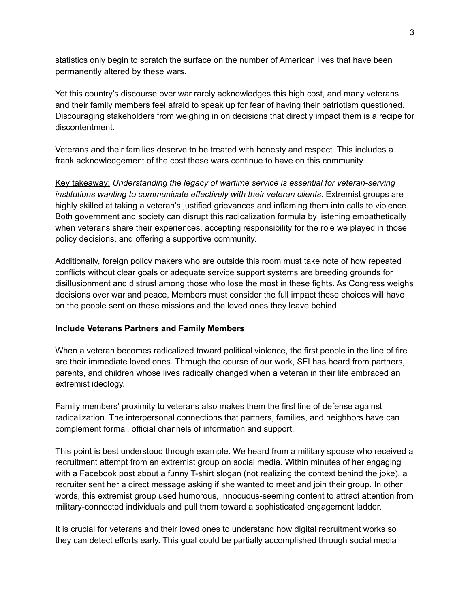statistics only begin to scratch the surface on the number of American lives that have been permanently altered by these wars.

Yet this country's discourse over war rarely acknowledges this high cost, and many veterans and their family members feel afraid to speak up for fear of having their patriotism questioned. Discouraging stakeholders from weighing in on decisions that directly impact them is a recipe for discontentment.

Veterans and their families deserve to be treated with honesty and respect. This includes a frank acknowledgement of the cost these wars continue to have on this community.

Key takeaway: *Understanding the legacy of wartime service is essential for veteran-serving institutions wanting to communicate effectively with their veteran clients*. Extremist groups are highly skilled at taking a veteran's justified grievances and inflaming them into calls to violence. Both government and society can disrupt this radicalization formula by listening empathetically when veterans share their experiences, accepting responsibility for the role we played in those policy decisions, and offering a supportive community.

Additionally, foreign policy makers who are outside this room must take note of how repeated conflicts without clear goals or adequate service support systems are breeding grounds for disillusionment and distrust among those who lose the most in these fights. As Congress weighs decisions over war and peace, Members must consider the full impact these choices will have on the people sent on these missions and the loved ones they leave behind.

### **Include Veterans Partners and Family Members**

When a veteran becomes radicalized toward political violence, the first people in the line of fire are their immediate loved ones. Through the course of our work, SFI has heard from partners, parents, and children whose lives radically changed when a veteran in their life embraced an extremist ideology.

Family members' proximity to veterans also makes them the first line of defense against radicalization. The interpersonal connections that partners, families, and neighbors have can complement formal, official channels of information and support.

This point is best understood through example. We heard from a military spouse who received a recruitment attempt from an extremist group on social media. Within minutes of her engaging with a Facebook post about a funny T-shirt slogan (not realizing the context behind the joke), a recruiter sent her a direct message asking if she wanted to meet and join their group. In other words, this extremist group used humorous, innocuous-seeming content to attract attention from military-connected individuals and pull them toward a sophisticated engagement ladder.

It is crucial for veterans and their loved ones to understand how digital recruitment works so they can detect efforts early. This goal could be partially accomplished through social media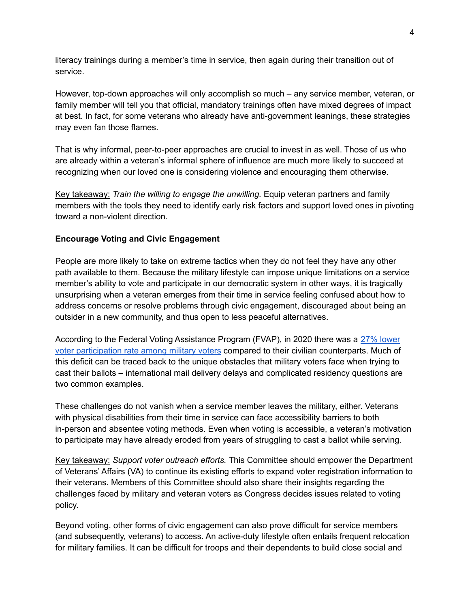literacy trainings during a member's time in service, then again during their transition out of service.

However, top-down approaches will only accomplish so much – any service member, veteran, or family member will tell you that official, mandatory trainings often have mixed degrees of impact at best. In fact, for some veterans who already have anti-government leanings, these strategies may even fan those flames.

That is why informal, peer-to-peer approaches are crucial to invest in as well. Those of us who are already within a veteran's informal sphere of influence are much more likely to succeed at recognizing when our loved one is considering violence and encouraging them otherwise.

Key takeaway: *Train the willing to engage the unwilling.* Equip veteran partners and family members with the tools they need to identify early risk factors and support loved ones in pivoting toward a non-violent direction.

## **Encourage Voting and Civic Engagement**

People are more likely to take on extreme tactics when they do not feel they have any other path available to them. Because the military lifestyle can impose unique limitations on a service member's ability to vote and participate in our democratic system in other ways, it is tragically unsurprising when a veteran emerges from their time in service feeling confused about how to address concerns or resolve problems through civic engagement, discouraged about being an outsider in a new community, and thus open to less peaceful alternatives.

According to the Federal Voting Assistance Program (FVAP), in 2020 there was a 27% [lower](https://www.fvap.gov/info/reports-surveys/2020-report-to-congress) voter [participation](https://www.fvap.gov/info/reports-surveys/2020-report-to-congress) rate among military voters compared to their civilian counterparts. Much of this deficit can be traced back to the unique obstacles that military voters face when trying to cast their ballots – international mail delivery delays and complicated residency questions are two common examples.

These challenges do not vanish when a service member leaves the military, either. Veterans with physical disabilities from their time in service can face accessibility barriers to both in-person and absentee voting methods. Even when voting is accessible, a veteran's motivation to participate may have already eroded from years of struggling to cast a ballot while serving.

Key takeaway: *Support voter outreach efforts.* This Committee should empower the Department of Veterans' Affairs (VA) to continue its existing efforts to expand voter registration information to their veterans. Members of this Committee should also share their insights regarding the challenges faced by military and veteran voters as Congress decides issues related to voting policy.

Beyond voting, other forms of civic engagement can also prove difficult for service members (and subsequently, veterans) to access. An active-duty lifestyle often entails frequent relocation for military families. It can be difficult for troops and their dependents to build close social and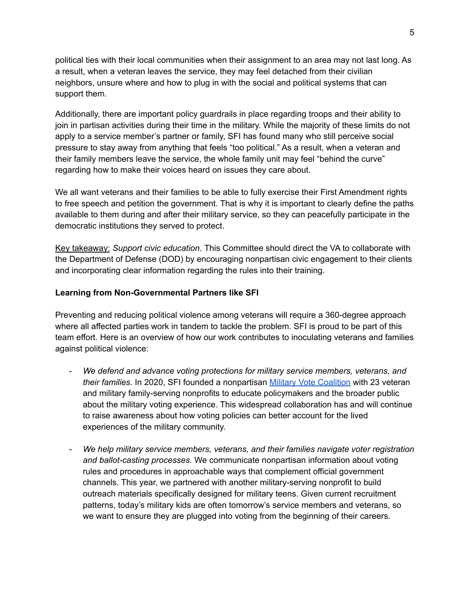political ties with their local communities when their assignment to an area may not last long. As a result, when a veteran leaves the service, they may feel detached from their civilian neighbors, unsure where and how to plug in with the social and political systems that can support them.

Additionally, there are important policy guardrails in place regarding troops and their ability to join in partisan activities during their time in the military. While the majority of these limits do not apply to a service member's partner or family, SFI has found many who still perceive social pressure to stay away from anything that feels "too political." As a result, when a veteran and their family members leave the service, the whole family unit may feel "behind the curve" regarding how to make their voices heard on issues they care about.

We all want veterans and their families to be able to fully exercise their First Amendment rights to free speech and petition the government. That is why it is important to clearly define the paths available to them during and after their military service, so they can peacefully participate in the democratic institutions they served to protect.

Key takeaway: *Support civic education.* This Committee should direct the VA to collaborate with the Department of Defense (DOD) by encouraging nonpartisan civic engagement to their clients and incorporating clear information regarding the rules into their training.

## **Learning from Non-Governmental Partners like SFI**

Preventing and reducing political violence among veterans will require a 360-degree approach where all affected parties work in tandem to tackle the problem. SFI is proud to be part of this team effort. Here is an overview of how our work contributes to inoculating veterans and families against political violence:

- *We defend and advance voting protections for military service members, veterans, and their families.* In 2020, SFI founded a nonpartisan Military Vote [Coalition](https://securefamiliesinitiative.org/military-vote-coalition/) with 23 veteran and military family-serving nonprofits to educate policymakers and the broader public about the military voting experience. This widespread collaboration has and will continue to raise awareness about how voting policies can better account for the lived experiences of the military community.
- *We help military service members, veterans, and their families navigate voter registration and ballot-casting processes.* We communicate nonpartisan information about voting rules and procedures in approachable ways that complement official government channels. This year, we partnered with another military-serving nonprofit to build outreach materials specifically designed for military teens. Given current recruitment patterns, today's military kids are often tomorrow's service members and veterans, so we want to ensure they are plugged into voting from the beginning of their careers.